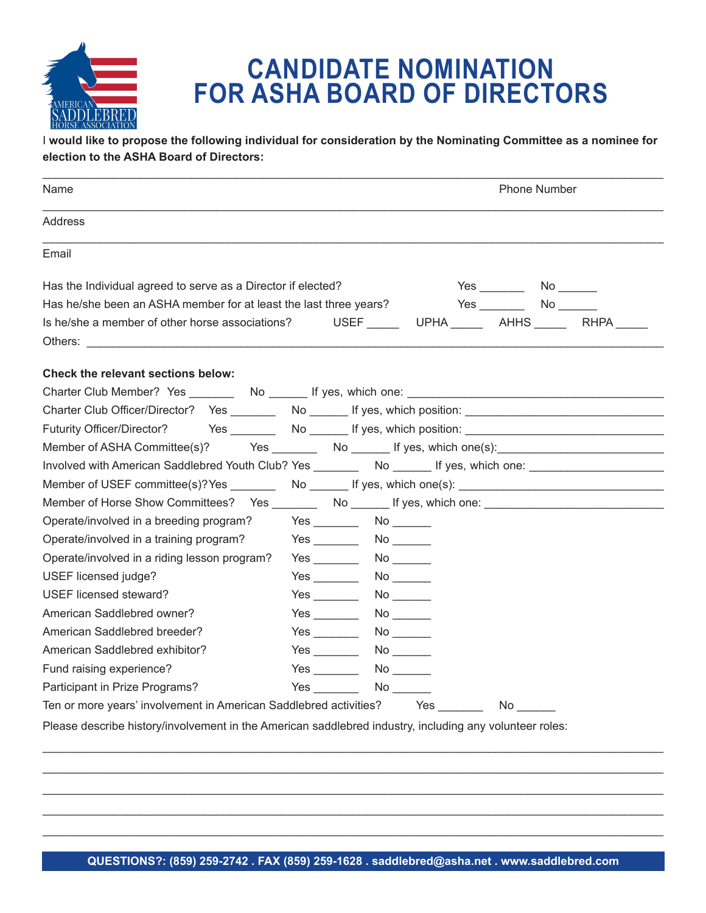

## **CANDIDATE NOMINATION FOR ASHA BOARD OF DIRECTORS**

I **would like to propose the following individual for consideration by the Nominating Committee as a nominee for election to the ASHA Board of Directors:**

| Name                                                                                                                                                                                                                           | <b>Phone Number</b>                                                                                                                                                                                                                 |    |                                                |                                                |
|--------------------------------------------------------------------------------------------------------------------------------------------------------------------------------------------------------------------------------|-------------------------------------------------------------------------------------------------------------------------------------------------------------------------------------------------------------------------------------|----|------------------------------------------------|------------------------------------------------|
| Address                                                                                                                                                                                                                        |                                                                                                                                                                                                                                     |    |                                                |                                                |
| Email                                                                                                                                                                                                                          |                                                                                                                                                                                                                                     |    |                                                |                                                |
| Has the Individual agreed to serve as a Director if elected?                                                                                                                                                                   |                                                                                                                                                                                                                                     |    | $Yes$ No $\qquad \qquad No$ No $\qquad \qquad$ |                                                |
| Has he/she been an ASHA member for at least the last three years?                                                                                                                                                              |                                                                                                                                                                                                                                     |    | Yes No                                         |                                                |
| Is he/she a member of other horse associations?                                                                                                                                                                                |                                                                                                                                                                                                                                     |    |                                                | USEF ______ UPHA ______ AHHS ______ RHPA _____ |
| Others: the contract of the contract of the contract of the contract of the contract of the contract of the contract of the contract of the contract of the contract of the contract of the contract of the contract of the co |                                                                                                                                                                                                                                     |    |                                                |                                                |
| Check the relevant sections below:                                                                                                                                                                                             |                                                                                                                                                                                                                                     |    |                                                |                                                |
|                                                                                                                                                                                                                                |                                                                                                                                                                                                                                     |    |                                                |                                                |
| Charter Club Officer/Director? Yes _________ No _______ If yes, which position: ______________________________                                                                                                                 |                                                                                                                                                                                                                                     |    |                                                |                                                |
| <b>Futurity Officer/Director?</b>                                                                                                                                                                                              |                                                                                                                                                                                                                                     |    |                                                |                                                |
| Member of ASHA Committee(s)? Yes __________ No _______ If yes, which one(s): _______________________                                                                                                                           |                                                                                                                                                                                                                                     |    |                                                |                                                |
| Involved with American Saddlebred Youth Club? Yes _________ No ______ If yes, which one: _____________________                                                                                                                 |                                                                                                                                                                                                                                     |    |                                                |                                                |
| Member of USEF committee(s)?Yes _________ No _______ If yes, which one(s): __________________________________                                                                                                                  |                                                                                                                                                                                                                                     |    |                                                |                                                |
| Member of Horse Show Committees? Yes ________ No _______ If yes, which one: _______________________                                                                                                                            |                                                                                                                                                                                                                                     |    |                                                |                                                |
| Operate/involved in a breeding program?                                                                                                                                                                                        |                                                                                                                                                                                                                                     |    |                                                |                                                |
| Operate/involved in a training program?                                                                                                                                                                                        |                                                                                                                                                                                                                                     |    |                                                |                                                |
| Operate/involved in a riding lesson program?                                                                                                                                                                                   | Yes                                                                                                                                                                                                                                 |    |                                                |                                                |
| USEF licensed judge?                                                                                                                                                                                                           |                                                                                                                                                                                                                                     |    |                                                |                                                |
| USEF licensed steward?                                                                                                                                                                                                         |                                                                                                                                                                                                                                     | No |                                                |                                                |
| American Saddlebred owner?                                                                                                                                                                                                     | $Yes \_\_$                                                                                                                                                                                                                          |    |                                                |                                                |
| American Saddlebred breeder?                                                                                                                                                                                                   | Yes                                                                                                                                                                                                                                 |    |                                                |                                                |
| American Saddlebred exhibitor?                                                                                                                                                                                                 |                                                                                                                                                                                                                                     |    |                                                |                                                |
| Fund raising experience?                                                                                                                                                                                                       |                                                                                                                                                                                                                                     |    |                                                |                                                |
| Participant in Prize Programs?                                                                                                                                                                                                 | <b>Yes</b> and the set of the set of the set of the set of the set of the set of the set of the set of the set of the set of the set of the set of the set of the set of the set of the set of the set of the set of the set of the |    |                                                |                                                |
| Ten or more years' involvement in American Saddlebred activities? Thes                                                                                                                                                         |                                                                                                                                                                                                                                     |    | $No \_\_$                                      |                                                |
| Please describe history/involvement in the American saddlebred industry, including any volunteer roles:                                                                                                                        |                                                                                                                                                                                                                                     |    |                                                |                                                |

\_\_\_\_\_\_\_\_\_\_\_\_\_\_\_\_\_\_\_\_\_\_\_\_\_\_\_\_\_\_\_\_\_\_\_\_\_\_\_\_\_\_\_\_\_\_\_\_\_\_\_\_\_\_\_\_\_\_\_\_\_\_\_\_\_\_\_\_\_\_\_\_\_\_\_\_\_\_\_\_\_\_\_\_\_\_\_\_\_\_\_\_\_\_\_\_ \_\_\_\_\_\_\_\_\_\_\_\_\_\_\_\_\_\_\_\_\_\_\_\_\_\_\_\_\_\_\_\_\_\_\_\_\_\_\_\_\_\_\_\_\_\_\_\_\_\_\_\_\_\_\_\_\_\_\_\_\_\_\_\_\_\_\_\_\_\_\_\_\_\_\_\_\_\_\_\_\_\_\_\_\_\_\_\_\_\_\_\_\_\_\_\_ \_\_\_\_\_\_\_\_\_\_\_\_\_\_\_\_\_\_\_\_\_\_\_\_\_\_\_\_\_\_\_\_\_\_\_\_\_\_\_\_\_\_\_\_\_\_\_\_\_\_\_\_\_\_\_\_\_\_\_\_\_\_\_\_\_\_\_\_\_\_\_\_\_\_\_\_\_\_\_\_\_\_\_\_\_\_\_\_\_\_\_\_\_\_\_\_ \_\_\_\_\_\_\_\_\_\_\_\_\_\_\_\_\_\_\_\_\_\_\_\_\_\_\_\_\_\_\_\_\_\_\_\_\_\_\_\_\_\_\_\_\_\_\_\_\_\_\_\_\_\_\_\_\_\_\_\_\_\_\_\_\_\_\_\_\_\_\_\_\_\_\_\_\_\_\_\_\_\_\_\_\_\_\_\_\_\_\_\_\_\_\_\_ \_\_\_\_\_\_\_\_\_\_\_\_\_\_\_\_\_\_\_\_\_\_\_\_\_\_\_\_\_\_\_\_\_\_\_\_\_\_\_\_\_\_\_\_\_\_\_\_\_\_\_\_\_\_\_\_\_\_\_\_\_\_\_\_\_\_\_\_\_\_\_\_\_\_\_\_\_\_\_\_\_\_\_\_\_\_\_\_\_\_\_\_\_\_\_\_